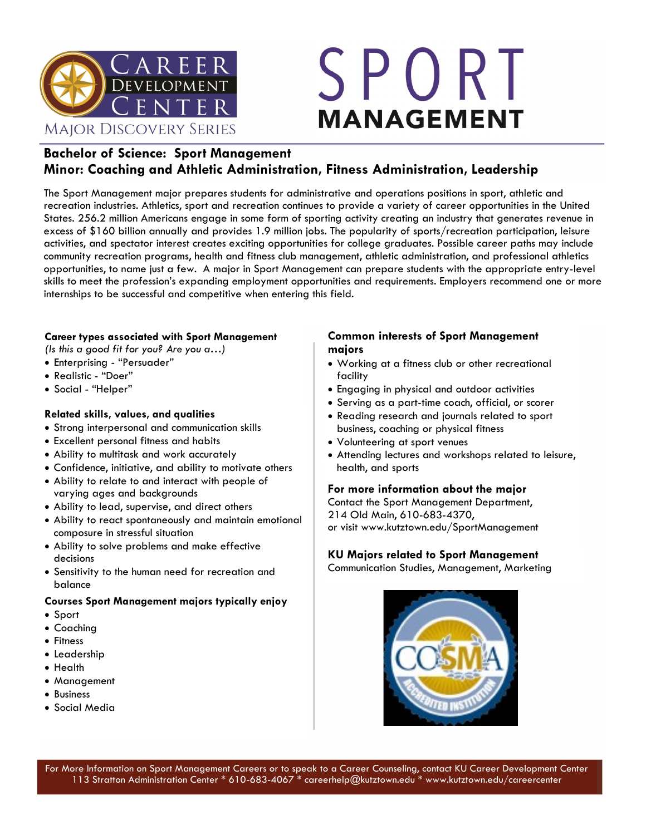

# SPORT **MANAGEMENT**

#### **Bachelor of Science: Sport Management Minor: Coaching and Athletic Administration, Fitness Administration, Leadership**

The Sport Management major prepares students for administrative and operations positions in sport, athletic and recreation industries. Athletics, sport and recreation continues to provide a variety of career opportunities in the United States. 256.2 million Americans engage in some form of sporting activity creating an industry that generates revenue in excess of \$160 billion annually and provides 1.9 million jobs. The popularity of sports/recreation participation, leisure activities, and spectator interest creates exciting opportunities for college graduates. Possible career paths may include community recreation programs, health and fitness club management, athletic administration, and professional athletics opportunities, to name just a few. A major in Sport Management can prepare students with the appropriate entry-level skills to meet the profession's expanding employment opportunities and requirements. Employers recommend one or more internships to be successful and competitive when entering this field.

#### **Career types associated with Sport Management**

*(Is this a good fit for you? Are you a…)*

- Enterprising "Persuader"
- Realistic "Doer"
- Social "Helper"

#### **Related skills, values, and qualities**

- Strong interpersonal and communication skills
- Excellent personal fitness and habits
- Ability to multitask and work accurately
- Confidence, initiative, and ability to motivate others
- Ability to relate to and interact with people of varying ages and backgrounds
- Ability to lead, supervise, and direct others
- Ability to react spontaneously and maintain emotional composure in stressful situation
- Ability to solve problems and make effective decisions
- Sensitivity to the human need for recreation and balance

#### **Courses Sport Management majors typically enjoy**

- Sport
- Coaching
- Fitness
- Leadership
- Health
- Management
- Business
- Social Media

#### **Common interests of Sport Management majors**

- Working at a fitness club or other recreational facility
- Engaging in physical and outdoor activities
- Serving as a part-time coach, official, or scorer
- Reading research and journals related to sport business, coaching or physical fitness
- Volunteering at sport venues
- Attending lectures and workshops related to leisure, health, and sports

#### **For more information about the major**

Contact the Sport Management Department, 214 Old Main, 610-683-4370, or visit www.kutztown.edu/SportManagement

#### **KU Majors related to Sport Management**

Communication Studies, Management, Marketing

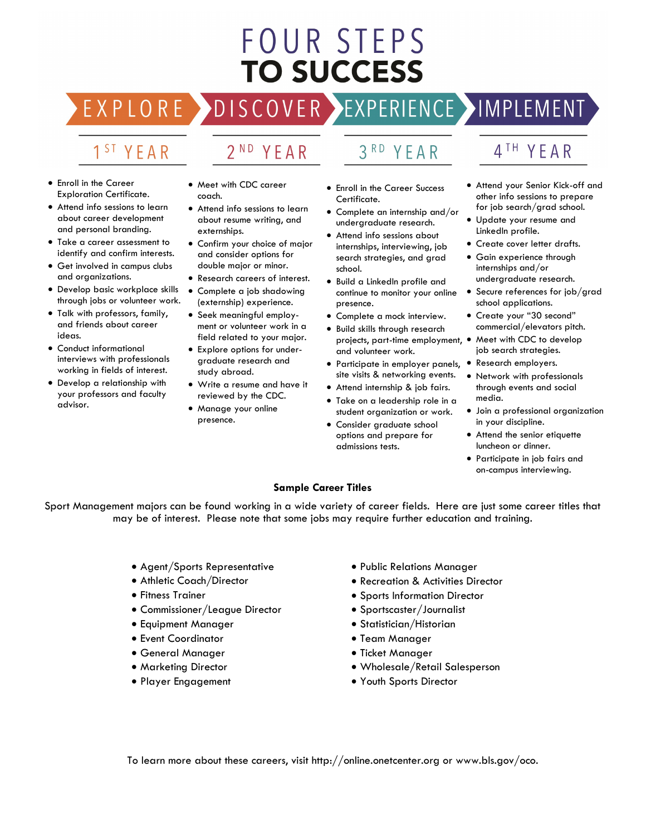## FOUR STEPS **TO SUCCESS**

#### EXPERIENCE >IMPLEMENT OVER

#### 1<sup>ST</sup> YEAR

- Enroll in the Career Exploration Certificate.
- Attend info sessions to learn about career development and personal branding.
- Take a career assessment to identify and confirm interests.
- Get involved in campus clubs and organizations.
- Develop basic workplace skills through jobs or volunteer work.
- Talk with professors, family, and friends about career ideas.
- Conduct informational interviews with professionals working in fields of interest.
- Develop a relationship with your professors and faculty advisor.
- Meet with CDC career coach.
- Attend info sessions to learn about resume writing, and externships.
- Confirm your choice of major and consider options for double major or minor.
- Research careers of interest.
- Complete a job shadowing (externship) experience.
- Seek meaningful employment or volunteer work in a field related to your major.
- Explore options for undergraduate research and study abroad.
- Write a resume and have it reviewed by the CDC.
- Manage your online presence.

• Enroll in the Career Success Certificate.

YFAR

- Complete an internship and/or undergraduate research.
- Attend info sessions about internships, interviewing, job search strategies, and grad school.
- Build a LinkedIn profile and continue to monitor your online presence.
- Complete a mock interview.
- Build skills through research projects, part-time employment, • Meet with CDC to develop and volunteer work.
- Participate in employer panels, site visits & networking events.
- Attend internship & job fairs.
- Take on a leadership role in a student organization or work.
- Consider graduate school options and prepare for admissions tests.
- 4<sup>TH</sup> YEAR
- Attend your Senior Kick-off and other info sessions to prepare for job search/grad school.
- Update your resume and LinkedIn profile.
- Create cover letter drafts.
- Gain experience through internships and/or
- undergraduate research.
- Secure references for job/grad school applications.
- Create your "30 second" commercial/elevators pitch.
- job search strategies.
- Research employers.
	- Network with professionals through events and social media.
	- Join a professional organization in your discipline.
	- Attend the senior etiquette luncheon or dinner.
	- Participate in job fairs and on-campus interviewing.

#### **Sample Career Titles**

Sport Management majors can be found working in a wide variety of career fields. Here are just some career titles that may be of interest. Please note that some jobs may require further education and training.

- Agent/Sports Representative
- Athletic Coach/Director
- Fitness Trainer
- Commissioner/League Director
- Equipment Manager
- Event Coordinator
- General Manager
- Marketing Director
- Player Engagement
- Public Relations Manager
- Recreation & Activities Director
- Sports Information Director
- Sportscaster/Journalist
- Statistician/Historian
- Team Manager
- Ticket Manager
- Wholesale/Retail Salesperson
- Youth Sports Director

To learn more about these careers, visit http://online.onetcenter.org or www.bls.gov/oco.

 $3<sup>RD</sup>$ 2<sup>ND</sup> YEAR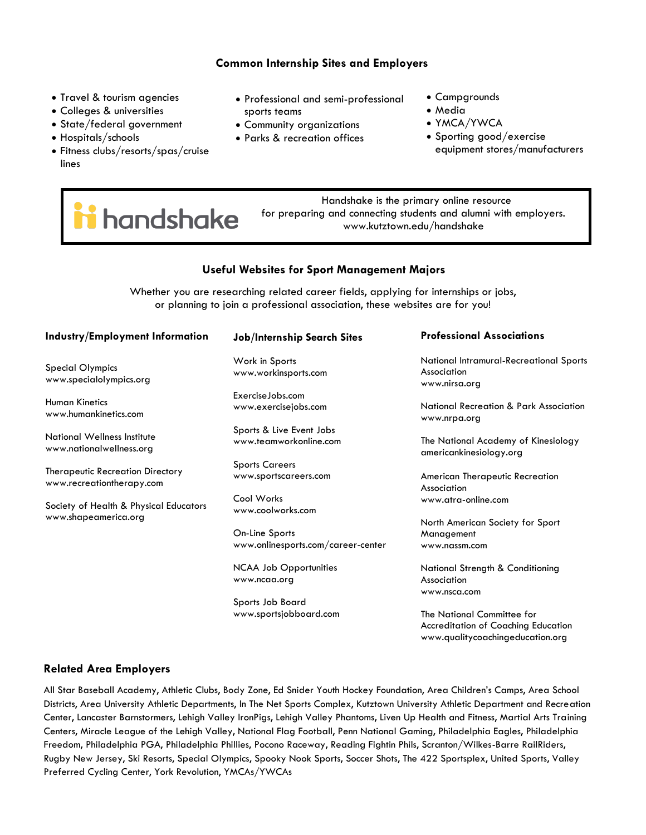#### **Common Internship Sites and Employers**

- Travel & tourism agencies
- Colleges & universities
- State/federal government
- Hospitals/schools
- Fitness clubs/resorts/spas/cruise lines
- Professional and semi-professional sports teams
- Community organizations
- Parks & recreation offices
- Campgrounds
- Media
- YMCA/YWCA
- Sporting good/exercise equipment stores/manufacturers

i handshake

 Handshake is the primary online resource for preparing and connecting students and alumni with employers. www.kutztown.edu/handshake

#### **Useful Websites for Sport Management Majors**

Whether you are researching related career fields, applying for internships or jobs, or planning to join a professional association, these websites are for you!

#### **Industry/Employment Information**

Special Olympics www.specialolympics.org

Human Kinetics www.humankinetics.com

National Wellness Institute www.nationalwellness.org

Therapeutic Recreation Directory www.recreationtherapy.com

Society of Health & Physical Educators www.shapeamerica.org

#### **Job/Internship Search Sites**

Work in Sports www.workinsports.com

ExerciseJobs.com www.exercisejobs.com

Sports & Live Event Jobs www.teamworkonline.com

Sports Careers www.sportscareers.com

Cool Works www.coolworks.com

On-Line Sports www.onlinesports.com/career-center

NCAA Job Opportunities www.ncaa.org

Sports Job Board www.sportsjobboard.com

#### **Professional Associations**

National Intramural-Recreational Sports Association www.nirsa.org

National Recreation & Park Association www.nrpa.org

The National Academy of Kinesiology americankinesiology.org

American Therapeutic Recreation Association www.atra-online.com

North American Society for Sport Management www.nassm.com

National Strength & Conditioning Association www.nsca.com

The National Committee for Accreditation of Coaching Education www.qualitycoachingeducation.org

#### **Related Area Employers**

All Star Baseball Academy, Athletic Clubs, Body Zone, Ed Snider Youth Hockey Foundation, Area Children's Camps, Area School Districts, Area University Athletic Departments, In The Net Sports Complex, Kutztown University Athletic Department and Recreation Center, Lancaster Barnstormers, Lehigh Valley IronPigs, Lehigh Valley Phantoms, Liven Up Health and Fitness, Martial Arts Training Centers, Miracle League of the Lehigh Valley, National Flag Football, Penn National Gaming, Philadelphia Eagles, Philadelphia Freedom, Philadelphia PGA, Philadelphia Phillies, Pocono Raceway, Reading Fightin Phils, Scranton/Wilkes-Barre RailRiders, Rugby New Jersey, Ski Resorts, Special Olympics, Spooky Nook Sports, Soccer Shots, The 422 Sportsplex, United Sports, Valley Preferred Cycling Center, York Revolution, YMCAs/YWCAs